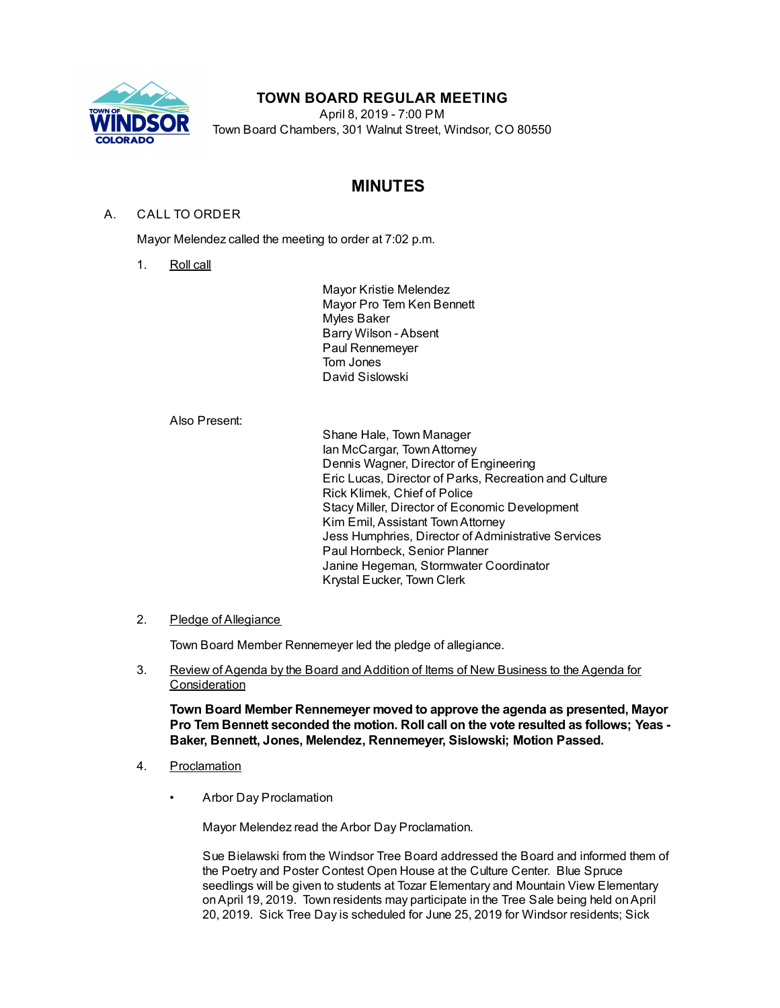

# **TOWN BOARD REGULAR MEETING**

April 8, 2019 - 7:00 PM Town Board Chambers, 301 Walnut Street, Windsor, CO 80550

# **MINUTES**

## A. CALL TO ORDER

Mayor Melendez called the meeting to order at 7:02 p.m.

1. Roll call

Mayor Kristie Melendez Mayor Pro Tem Ken Bennett Myles Baker Barry Wilson - Absent Paul Rennemeyer Tom Jones David Sislowski

Also Present:

Shane Hale, Town Manager Ian McCargar, TownAttorney Dennis Wagner, Director of Engineering Eric Lucas, Director of Parks, Recreation and Culture Rick Klimek, Chief of Police Stacy Miller, Director of Economic Development Kim Emil, Assistant TownAttorney Jess Humphries, Director of Administrative Services Paul Hornbeck, Senior Planner Janine Hegeman, Stormwater Coordinator Krystal Eucker, Town Clerk

### 2. Pledge of Allegiance

Town Board Member Rennemeyer led the pledge of allegiance.

3. Review of Agenda by the Board and Addition of Items of New Business to the Agenda for **Consideration** 

**Town Board Member Rennemeyer moved to approve the agenda as presented, Mayor Pro Tem Bennett seconded the motion. Roll call on the vote resulted as follows; Yeas - Baker, Bennett, Jones, Melendez, Rennemeyer, Sislowski; Motion Passed.**

- 4. Proclamation
	- Arbor Day Proclamation

Mayor Melendez read the Arbor Day Proclamation.

Sue Bielawski from the Windsor Tree Board addressed the Board and informed them of the Poetry and Poster Contest Open House at the Culture Center. Blue Spruce seedlings will be given to students at Tozar Elementary and Mountain View Elementary onApril 19, 2019. Town residents may participate in the Tree Sale being held onApril 20, 2019. Sick Tree Day is scheduled for June 25, 2019 for Windsor residents; Sick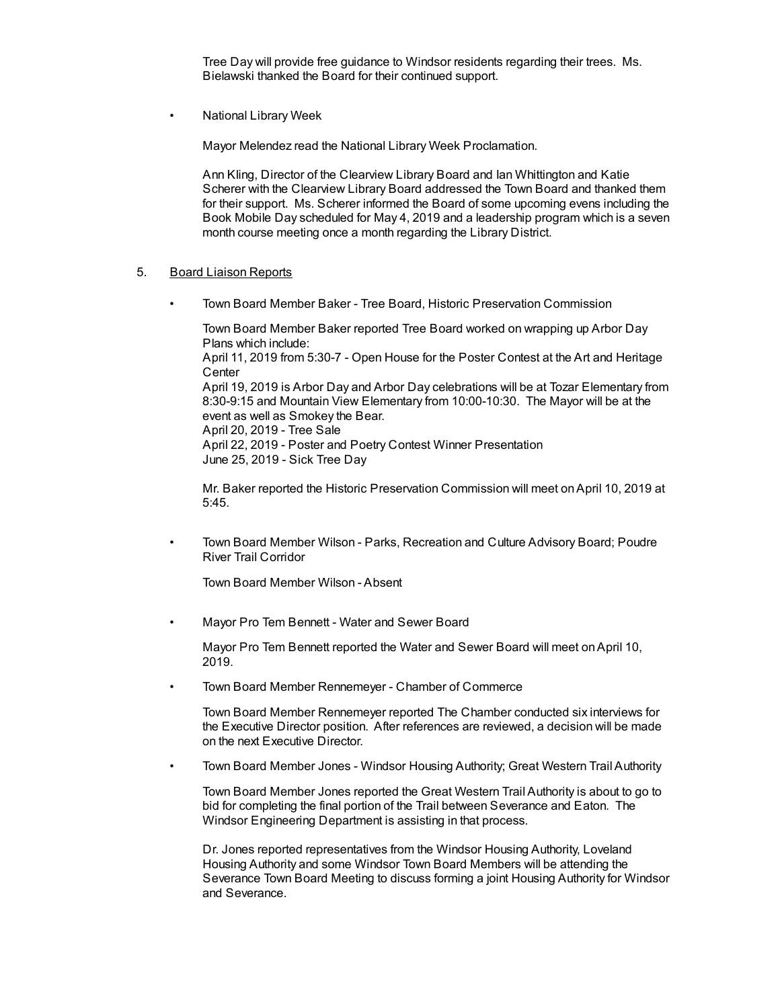Tree Day will provide free guidance to Windsor residents regarding their trees. Ms. Bielawski thanked the Board for their continued support.

• National Library Week

Mayor Melendez read the National Library Week Proclamation.

Ann Kling, Director of the Clearview Library Board and Ian Whittington and Katie Scherer with the Clearview Library Board addressed the Town Board and thanked them for their support. Ms. Scherer informed the Board of some upcoming evens including the Book Mobile Day scheduled for May 4, 2019 and a leadership program which is a seven month course meeting once a month regarding the Library District.

#### 5. Board Liaison Reports

• Town Board Member Baker - Tree Board, Historic Preservation Commission

Town Board Member Baker reported Tree Board worked on wrapping up Arbor Day Plans which include: April 11, 2019 from 5:30-7 - Open House for the Poster Contest at the Art and Heritage **Center** April 19, 2019 is Arbor Day and Arbor Day celebrations will be at Tozar Elementary from 8:30-9:15 and Mountain View Elementary from 10:00-10:30. The Mayor will be at the event as well as Smokey the Bear. April 20, 2019 - Tree Sale April 22, 2019 - Poster and Poetry Contest Winner Presentation June 25, 2019 - Sick Tree Day

Mr. Baker reported the Historic Preservation Commission will meet onApril 10, 2019 at 5:45.

• Town Board Member Wilson - Parks, Recreation and Culture Advisory Board; Poudre River Trail Corridor

Town Board Member Wilson - Absent

• Mayor Pro Tem Bennett - Water and Sewer Board

Mayor Pro Tem Bennett reported the Water and Sewer Board will meet onApril 10, 2019.

• Town Board Member Rennemeyer - Chamber of Commerce

Town Board Member Rennemeyer reported The Chamber conducted six interviews for the Executive Director position. After references are reviewed, a decision will be made on the next Executive Director.

• Town Board Member Jones - Windsor Housing Authority; Great Western Trail Authority

Town Board Member Jones reported the Great Western Trail Authority is about to go to bid for completing the final portion of the Trail between Severance and Eaton. The Windsor Engineering Department is assisting in that process.

Dr. Jones reported representatives from the Windsor Housing Authority, Loveland Housing Authority and some Windsor Town Board Members will be attending the Severance Town Board Meeting to discuss forming a joint Housing Authority for Windsor and Severance.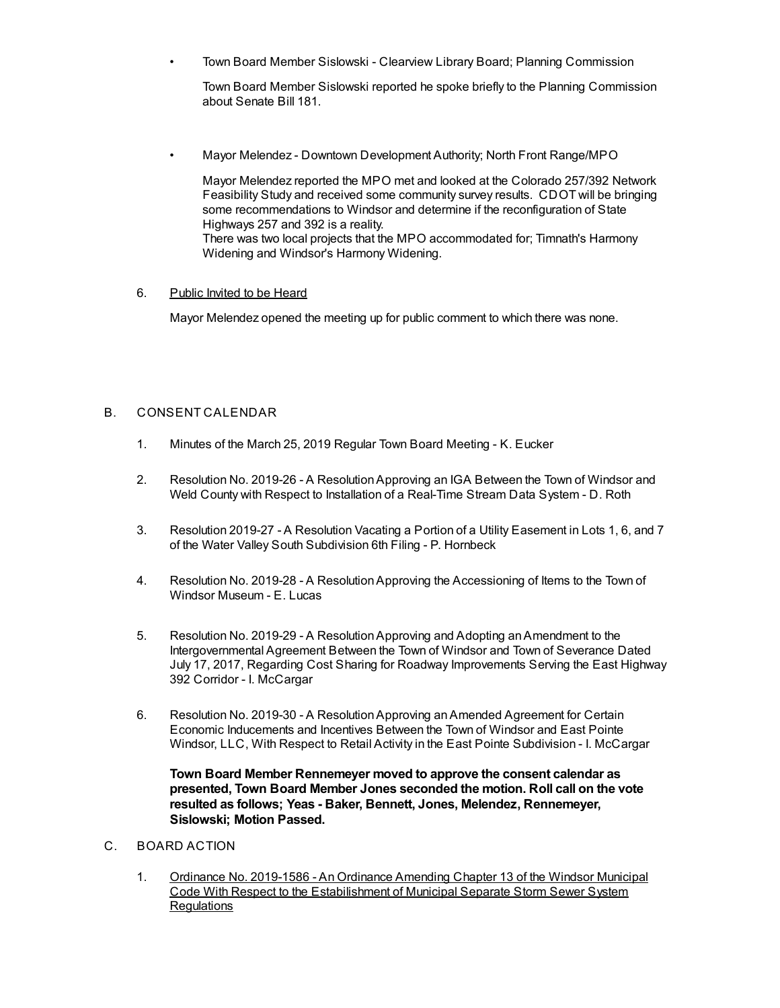• Town Board Member Sislowski - Clearview Library Board; Planning Commission

Town Board Member Sislowski reported he spoke briefly to the Planning Commission about Senate Bill 181.

• Mayor Melendez - Downtown Development Authority; North Front Range/MPO

Mayor Melendez reported the MPO met and looked at the Colorado 257/392 Network Feasibility Study and received some community survey results. CDOT will be bringing some recommendations to Windsor and determine if the reconfiguration of State Highways 257 and 392 is a reality.

There was two local projects that the MPO accommodated for; Timnath's Harmony Widening and Windsor's Harmony Widening.

#### 6. Public Invited to be Heard

Mayor Melendez opened the meeting up for public comment to which there was none.

## B. CONSENT CALENDAR

- 1. Minutes of the March 25, 2019 Regular Town Board Meeting K. Eucker
- 2. Resolution No. 2019-26 A ResolutionApproving an IGA Between the Town of Windsor and Weld County with Respect to Installation of a Real-Time Stream Data System - D. Roth
- 3. Resolution 2019-27 A Resolution Vacating a Portion of a Utility Easement in Lots 1, 6, and 7 of the Water Valley South Subdivision 6th Filing - P. Hornbeck
- 4. Resolution No. 2019-28 A ResolutionApproving the Accessioning of Items to the Town of Windsor Museum - E. Lucas
- 5. Resolution No. 2019-29 A ResolutionApproving and Adopting anAmendment to the Intergovernmental Agreement Between the Town of Windsor and Town of Severance Dated July 17, 2017, Regarding Cost Sharing for Roadway Improvements Serving the East Highway 392 Corridor - I. McCargar
- 6. Resolution No. 2019-30 A ResolutionApproving anAmended Agreement for Certain Economic Inducements and Incentives Between the Town of Windsor and East Pointe Windsor, LLC, With Respect to Retail Activity in the East Pointe Subdivision - I. McCargar

**Town Board Member Rennemeyer moved to approve the consent calendar as presented, Town Board Member Jones seconded the motion. Roll call on the vote resulted as follows; Yeas - Baker, Bennett, Jones, Melendez, Rennemeyer, Sislowski; Motion Passed.**

- C. BOARD ACTION
	- 1. Ordinance No. 2019-1586 An Ordinance Amending Chapter 13 of the Windsor Municipal Code With Respect to the Estabilishment of Municipal Separate Storm Sewer System **Regulations**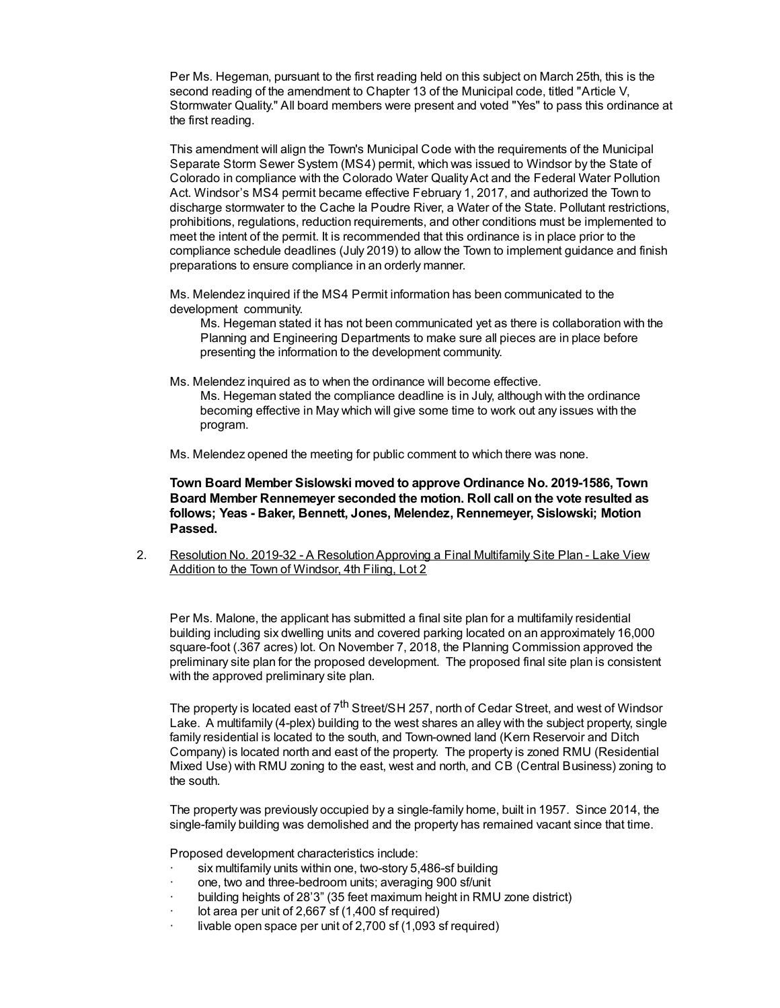Per Ms. Hegeman, pursuant to the first reading held on this subject on March 25th, this is the second reading of the amendment to Chapter 13 of the Municipal code, titled "Article V, Stormwater Quality." All board members were present and voted "Yes" to pass this ordinance at the first reading.

This amendment will align the Town's Municipal Code with the requirements of the Municipal Separate Storm Sewer System (MS4) permit, which was issued to Windsor by the State of Colorado in compliance with the Colorado Water QualityAct and the Federal Water Pollution Act. Windsor's MS4 permit became effective February 1, 2017, and authorized the Town to discharge stormwater to the Cache la Poudre River, a Water of the State. Pollutant restrictions, prohibitions, regulations, reduction requirements, and other conditions must be implemented to meet the intent of the permit. It is recommended that this ordinance is in place prior to the compliance schedule deadlines (July 2019) to allow the Town to implement guidance and finish preparations to ensure compliance in an orderly manner.

Ms. Melendez inquired if the MS4 Permit information has been communicated to the development community.

Ms. Hegeman stated it has not been communicated yet as there is collaboration with the Planning and Engineering Departments to make sure all pieces are in place before presenting the information to the development community.

Ms. Melendez inquired as to when the ordinance will become effective.

Ms. Hegeman stated the compliance deadline is in July, although with the ordinance becoming effective in May which will give some time to work out any issues with the program.

Ms. Melendez opened the meeting for public comment to which there was none.

**Town Board Member Sislowski moved to approve Ordinance No. 2019-1586, Town Board Member Rennemeyer seconded the motion. Roll call on the vote resulted as follows; Yeas - Baker, Bennett, Jones, Melendez, Rennemeyer, Sislowski; Motion Passed.**

2. Resolution No. 2019-32 - A ResolutionApproving a Final Multifamily Site Plan - Lake View Addition to the Town of Windsor, 4th Filing, Lot 2

Per Ms. Malone, the applicant has submitted a final site plan for a multifamily residential building including six dwelling units and covered parking located on an approximately 16,000 square-foot (.367 acres) lot. On November 7, 2018, the Planning Commission approved the preliminary site plan for the proposed development. The proposed final site plan is consistent with the approved preliminary site plan.

The property is located east of 7<sup>th</sup> Street/SH 257, north of Cedar Street, and west of Windsor Lake. A multifamily (4-plex) building to the west shares an alley with the subject property, single family residential is located to the south, and Town-owned land (Kern Reservoir and Ditch Company) is located north and east of the property. The property is zoned RMU (Residential Mixed Use) with RMU zoning to the east, west and north, and CB (Central Business) zoning to the south.

The property was previously occupied by a single-family home, built in 1957. Since 2014, the single-family building was demolished and the property has remained vacant since that time.

Proposed development characteristics include:

- six multifamily units within one, two-story 5,486-sf building
- one, two and three-bedroom units; averaging 900 sf/unit
- · building heights of 28'3" (35 feet maximum height in RMU zone district)
- lot area per unit of  $2,667$  sf  $(1,400)$  sf required)
- livable open space per unit of  $2,700$  sf  $(1,093$  sf required)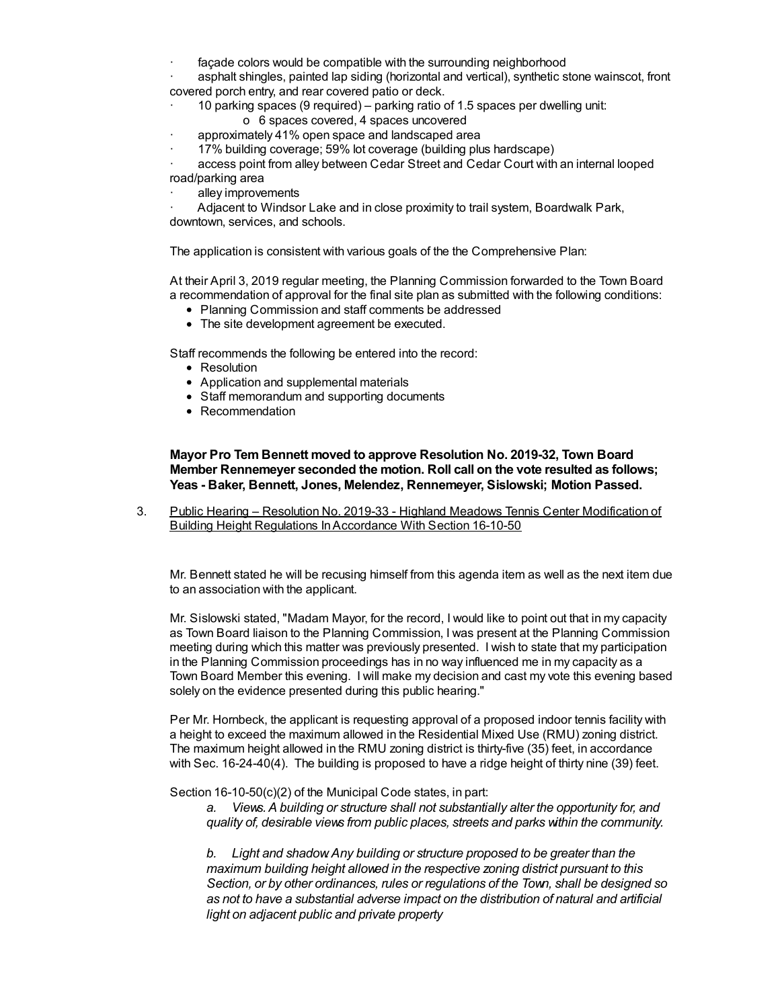façade colors would be compatible with the surrounding neighborhood

asphalt shingles, painted lap siding (horizontal and vertical), synthetic stone wainscot, front covered porch entry, and rear covered patio or deck.

- · 10 parking spaces (9 required) parking ratio of 1.5 spaces per dwelling unit:
	- o 6 spaces covered, 4 spaces uncovered
- approximately 41% open space and landscaped area
- · 17% building coverage; 59% lot coverage (building plus hardscape)

access point from alley between Cedar Street and Cedar Court with an internal looped road/parking area

alley improvements

· Adjacent to Windsor Lake and in close proximity to trail system, Boardwalk Park, downtown, services, and schools.

The application is consistent with various goals of the the Comprehensive Plan:

At their April 3, 2019 regular meeting, the Planning Commission forwarded to the Town Board a recommendation of approval for the final site plan as submitted with the following conditions:

- Planning Commission and staff comments be addressed
- The site development agreement be executed.

Staff recommends the following be entered into the record:

- Resolution
- Application and supplemental materials
- Staff memorandum and supporting documents
- Recommendation

**Mayor Pro Tem Bennett moved to approve Resolution No. 2019-32, Town Board Member Rennemeyer seconded the motion. Roll call on the vote resulted as follows; Yeas - Baker, Bennett, Jones, Melendez, Rennemeyer, Sislowski; Motion Passed.**

3. Public Hearing – Resolution No. 2019-33 - Highland Meadows Tennis Center Modification of Building Height Regulations InAccordance With Section 16-10-50

Mr. Bennett stated he will be recusing himself from this agenda item as well as the next item due to an association with the applicant.

Mr. Sislowski stated, "Madam Mayor, for the record, I would like to point out that in my capacity as Town Board liaison to the Planning Commission, I was present at the Planning Commission meeting during which this matter was previously presented. I wish to state that my participation in the Planning Commission proceedings has in no way influenced me in my capacity as a Town Board Member this evening. I will make my decision and cast my vote this evening based solely on the evidence presented during this public hearing."

Per Mr. Hornbeck, the applicant is requesting approval of a proposed indoor tennis facility with a height to exceed the maximum allowed in the Residential Mixed Use (RMU) zoning district. The maximum height allowed in the RMU zoning district is thirty-five (35) feet, in accordance with Sec. 16-24-40(4). The building is proposed to have a ridge height of thirty nine (39) feet.

Section 16-10-50(c)(2) of the Municipal Code states, in part:

*a. Views.A building or structure shall not substantially alter the opportunity for, and quality of, desirable views from public places, streets and parks within the community.*

*b. Light and shadow.Any building or structure proposed to be greater than the maximum building height allowed in the respective zoning district pursuant to this Section, or by other ordinances, rules or regulations of the Town, shall be designed so as not to have a substantial adverse impact on the distribution of natural and artificial light on adjacent public and private property*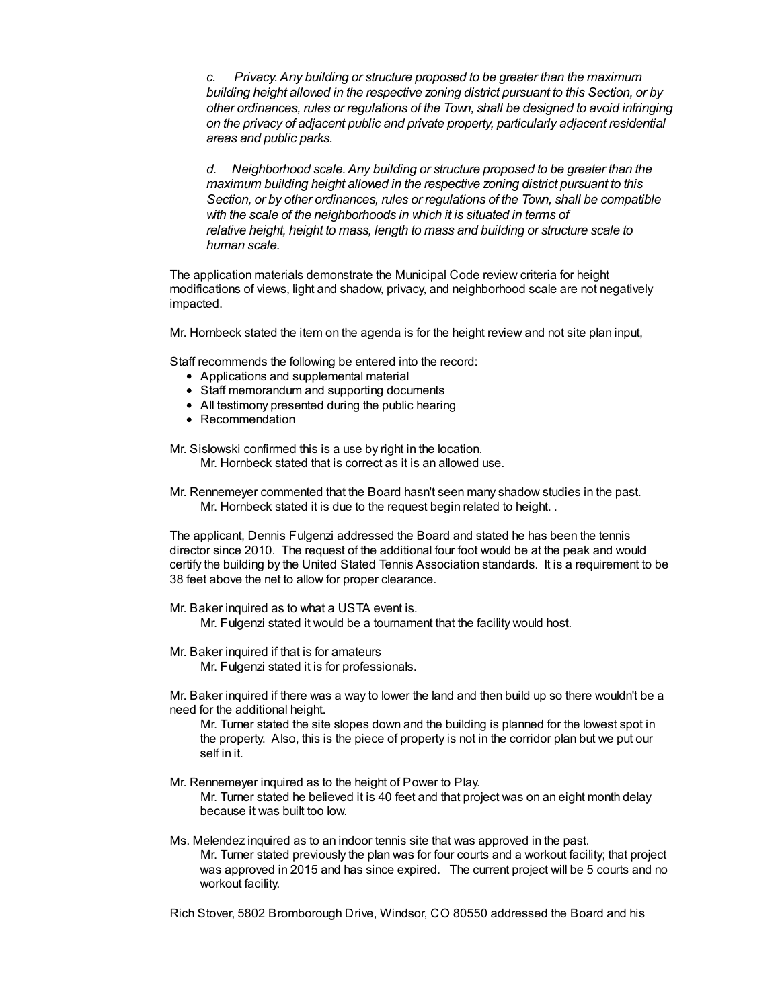*c. Privacy.Any building or structure proposed to be greater than the maximum building height allowed in the respective zoning district pursuant to this Section, or by other ordinances, rules or regulations of the Town, shall be designed to avoid infringing on the privacy of adjacent public and private property, particularly adjacent residential areas and public parks.*

*d. Neighborhood scale.Any building or structure proposed to be greater than the maximum building height allowed in the respective zoning district pursuant to this Section, or by other ordinances, rules or regulations of the Town, shall be compatible with the scale of the neighborhoods in which it is situated in terms of relative height, height to mass, length to mass and building or structure scale to human scale.*

The application materials demonstrate the Municipal Code review criteria for height modifications of views, light and shadow, privacy, and neighborhood scale are not negatively impacted.

Mr. Hornbeck stated the item on the agenda is for the height review and not site plan input,

Staff recommends the following be entered into the record:

- Applications and supplemental material
- Staff memorandum and supporting documents
- All testimony presented during the public hearing
- Recommendation

Mr. Sislowski confirmed this is a use by right in the location. Mr. Hornbeck stated that is correct as it is an allowed use.

Mr. Rennemeyer commented that the Board hasn't seen many shadow studies in the past. Mr. Hornbeck stated it is due to the request begin related to height. .

The applicant, Dennis Fulgenzi addressed the Board and stated he has been the tennis director since 2010. The request of the additional four foot would be at the peak and would certify the building by the United Stated Tennis Association standards. It is a requirement to be 38 feet above the net to allow for proper clearance.

- Mr. Baker inquired as to what a USTA event is. Mr. Fulgenzi stated it would be a tournament that the facility would host.
- Mr. Baker inquired if that is for amateurs Mr. Fulgenzi stated it is for professionals.
- Mr. Baker inquired if there was a way to lower the land and then build up so there wouldn't be a need for the additional height.

Mr. Turner stated the site slopes down and the building is planned for the lowest spot in the property. Also, this is the piece of property is not in the corridor plan but we put our self in it.

- Mr. Rennemeyer inquired as to the height of Power to Play. Mr. Turner stated he believed it is 40 feet and that project was on an eight month delay because it was built too low.
- Ms. Melendez inquired as to an indoor tennis site that was approved in the past. Mr. Turner stated previously the plan was for four courts and a workout facility; that project was approved in 2015 and has since expired. The current project will be 5 courts and no workout facility.

Rich Stover, 5802 Bromborough Drive, Windsor, CO 80550 addressed the Board and his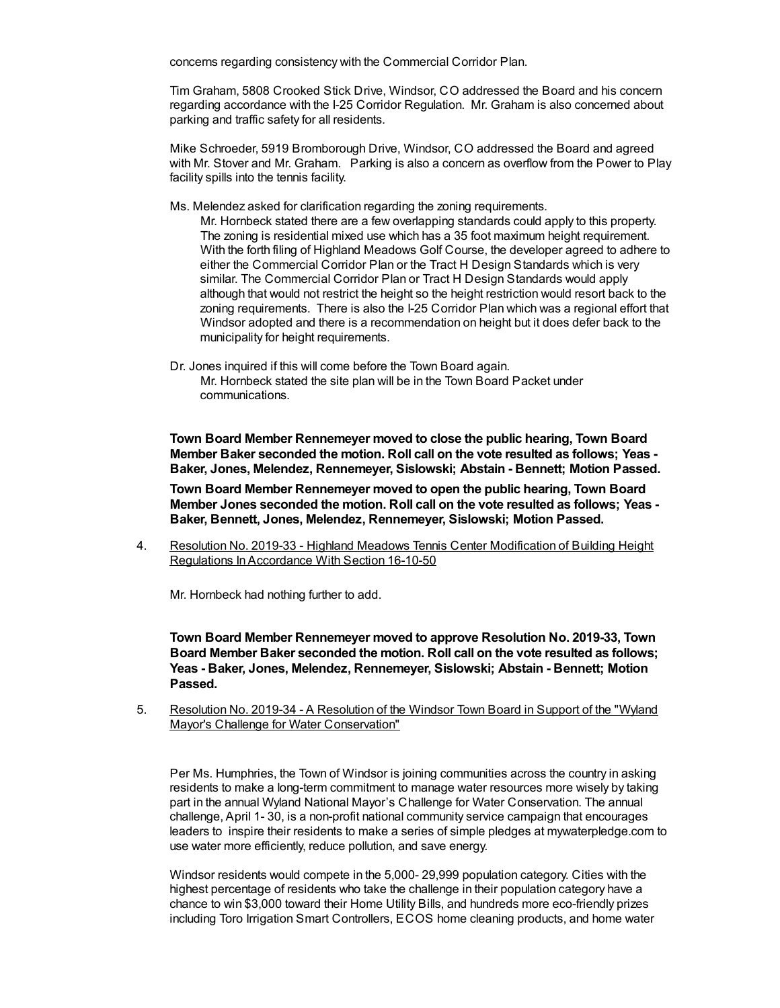concerns regarding consistency with the Commercial Corridor Plan.

Tim Graham, 5808 Crooked Stick Drive, Windsor, CO addressed the Board and his concern regarding accordance with the I-25 Corridor Regulation. Mr. Graham is also concerned about parking and traffic safety for all residents.

Mike Schroeder, 5919 Bromborough Drive, Windsor, CO addressed the Board and agreed with Mr. Stover and Mr. Graham. Parking is also a concern as overflow from the Power to Play facility spills into the tennis facility.

Ms. Melendez asked for clarification regarding the zoning requirements.

Mr. Hornbeck stated there are a few overlapping standards could apply to this property. The zoning is residential mixed use which has a 35 foot maximum height requirement. With the forth filing of Highland Meadows Golf Course, the developer agreed to adhere to either the Commercial Corridor Plan or the Tract H Design Standards which is very similar. The Commercial Corridor Plan or Tract H Design Standards would apply although that would not restrict the height so the height restriction would resort back to the zoning requirements. There is also the I-25 Corridor Plan which was a regional effort that Windsor adopted and there is a recommendation on height but it does defer back to the municipality for height requirements.

Dr. Jones inquired if this will come before the Town Board again. Mr. Hornbeck stated the site plan will be in the Town Board Packet under communications.

**Town Board Member Rennemeyer moved to close the public hearing, Town Board Member Baker seconded the motion. Roll call on the vote resulted as follows; Yeas - Baker, Jones, Melendez, Rennemeyer, Sislowski; Abstain - Bennett; Motion Passed.**

**Town Board Member Rennemeyer moved to open the public hearing, Town Board Member Jones seconded the motion. Roll call on the vote resulted as follows; Yeas - Baker, Bennett, Jones, Melendez, Rennemeyer, Sislowski; Motion Passed.**

4. Resolution No. 2019-33 - Highland Meadows Tennis Center Modification of Building Height Regulations InAccordance With Section 16-10-50

Mr. Hornbeck had nothing further to add.

**Town Board Member Rennemeyer moved to approve Resolution No. 2019-33, Town Board Member Baker seconded the motion. Roll call on the vote resulted as follows; Yeas - Baker, Jones, Melendez, Rennemeyer, Sislowski; Abstain - Bennett; Motion Passed.**

5. Resolution No. 2019-34 - A Resolution of the Windsor Town Board in Support of the "Wyland Mayor's Challenge for Water Conservation"

Per Ms. Humphries, the Town of Windsor is joining communities across the country in asking residents to make a long-term commitment to manage water resources more wisely by taking part in the annual Wyland National Mayor's Challenge for Water Conservation. The annual challenge, April 1- 30, is a non-profit national community service campaign that encourages leaders to inspire their residents to make a series of simple pledges at mywaterpledge.com to use water more efficiently, reduce pollution, and save energy.

Windsor residents would compete in the 5,000- 29,999 population category. Cities with the highest percentage of residents who take the challenge in their population category have a chance to win \$3,000 toward their Home Utility Bills, and hundreds more eco-friendly prizes including Toro Irrigation Smart Controllers, ECOS home cleaning products, and home water